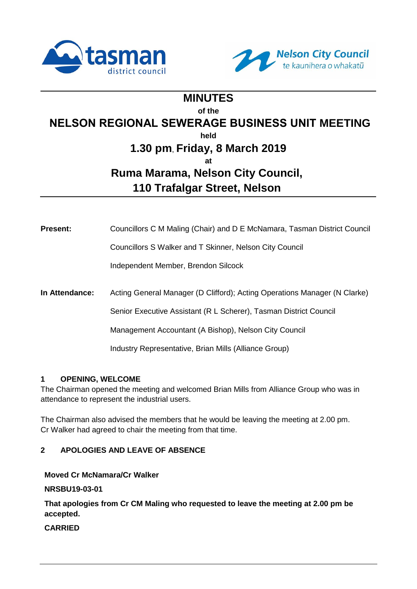



# **MINUTES of the NELSON REGIONAL SEWERAGE BUSINESS UNIT MEETING held 1.30 pm**, **Friday, 8 March 2019 at Ruma Marama, Nelson City Council, 110 Trafalgar Street, Nelson**

**Present:** Councillors C M Maling (Chair) and D E McNamara, Tasman District Council Councillors S Walker and T Skinner, Nelson City Council Independent Member, Brendon Silcock **In Attendance:** Acting General Manager (D Clifford); Acting Operations Manager (N Clarke) Senior Executive Assistant (R L Scherer), Tasman District Council Management Accountant (A Bishop), Nelson City Council Industry Representative, Brian Mills (Alliance Group)

# **1 OPENING, WELCOME**

The Chairman opened the meeting and welcomed Brian Mills from Alliance Group who was in attendance to represent the industrial users.

The Chairman also advised the members that he would be leaving the meeting at 2.00 pm. Cr Walker had agreed to chair the meeting from that time.

# **2 APOLOGIES AND LEAVE OF ABSENCE**

**Moved Cr McNamara/Cr Walker**

**NRSBU19-03-01**

**That apologies from Cr CM Maling who requested to leave the meeting at 2.00 pm be accepted.**

**CARRIED**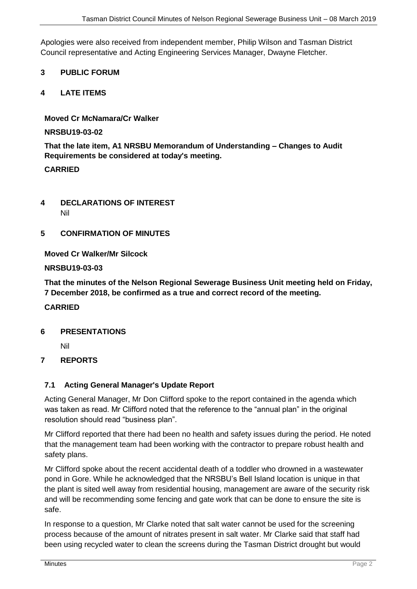Apologies were also received from independent member, Philip Wilson and Tasman District Council representative and Acting Engineering Services Manager, Dwayne Fletcher.

## **3 PUBLIC FORUM**

## **4 LATE ITEMS**

#### **Moved Cr McNamara/Cr Walker**

## **NRSBU19-03-02**

**That the late item, A1 NRSBU Memorandum of Understanding – Changes to Audit Requirements be considered at today's meeting.**

**CARRIED**

#### **4 DECLARATIONS OF INTEREST**  Nil

## **5 CONFIRMATION OF MINUTES**

**Moved Cr Walker/Mr Silcock**

#### **NRSBU19-03-03**

**That the minutes of the Nelson Regional Sewerage Business Unit meeting held on Friday, 7 December 2018, be confirmed as a true and correct record of the meeting.**

#### **CARRIED**

#### **6 PRESENTATIONS**

Nil

#### **7 REPORTS**

#### **7.1 Acting General Manager's Update Report**

Acting General Manager, Mr Don Clifford spoke to the report contained in the agenda which was taken as read. Mr Clifford noted that the reference to the "annual plan" in the original resolution should read "business plan".

Mr Clifford reported that there had been no health and safety issues during the period. He noted that the management team had been working with the contractor to prepare robust health and safety plans.

Mr Clifford spoke about the recent accidental death of a toddler who drowned in a wastewater pond in Gore. While he acknowledged that the NRSBU's Bell Island location is unique in that the plant is sited well away from residential housing, management are aware of the security risk and will be recommending some fencing and gate work that can be done to ensure the site is safe.

In response to a question, Mr Clarke noted that salt water cannot be used for the screening process because of the amount of nitrates present in salt water. Mr Clarke said that staff had been using recycled water to clean the screens during the Tasman District drought but would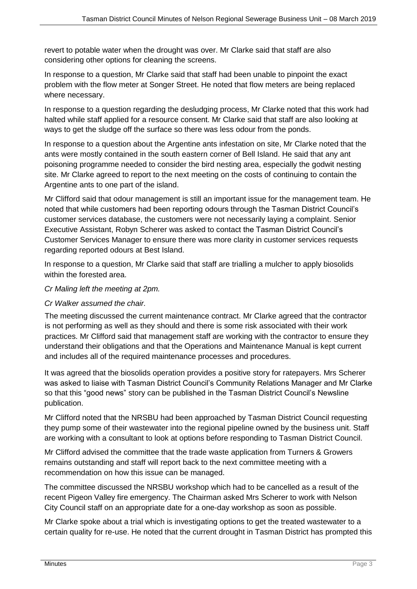revert to potable water when the drought was over. Mr Clarke said that staff are also considering other options for cleaning the screens.

In response to a question, Mr Clarke said that staff had been unable to pinpoint the exact problem with the flow meter at Songer Street. He noted that flow meters are being replaced where necessary.

In response to a question regarding the desludging process, Mr Clarke noted that this work had halted while staff applied for a resource consent. Mr Clarke said that staff are also looking at ways to get the sludge off the surface so there was less odour from the ponds.

In response to a question about the Argentine ants infestation on site, Mr Clarke noted that the ants were mostly contained in the south eastern corner of Bell Island. He said that any ant poisoning programme needed to consider the bird nesting area, especially the godwit nesting site. Mr Clarke agreed to report to the next meeting on the costs of continuing to contain the Argentine ants to one part of the island.

Mr Clifford said that odour management is still an important issue for the management team. He noted that while customers had been reporting odours through the Tasman District Council's customer services database, the customers were not necessarily laying a complaint. Senior Executive Assistant, Robyn Scherer was asked to contact the Tasman District Council's Customer Services Manager to ensure there was more clarity in customer services requests regarding reported odours at Best Island.

In response to a question, Mr Clarke said that staff are trialling a mulcher to apply biosolids within the forested area.

# *Cr Maling left the meeting at 2pm.*

# *Cr Walker assumed the chair.*

The meeting discussed the current maintenance contract. Mr Clarke agreed that the contractor is not performing as well as they should and there is some risk associated with their work practices. Mr Clifford said that management staff are working with the contractor to ensure they understand their obligations and that the Operations and Maintenance Manual is kept current and includes all of the required maintenance processes and procedures.

It was agreed that the biosolids operation provides a positive story for ratepayers. Mrs Scherer was asked to liaise with Tasman District Council's Community Relations Manager and Mr Clarke so that this "good news" story can be published in the Tasman District Council's Newsline publication.

Mr Clifford noted that the NRSBU had been approached by Tasman District Council requesting they pump some of their wastewater into the regional pipeline owned by the business unit. Staff are working with a consultant to look at options before responding to Tasman District Council.

Mr Clifford advised the committee that the trade waste application from Turners & Growers remains outstanding and staff will report back to the next committee meeting with a recommendation on how this issue can be managed.

The committee discussed the NRSBU workshop which had to be cancelled as a result of the recent Pigeon Valley fire emergency. The Chairman asked Mrs Scherer to work with Nelson City Council staff on an appropriate date for a one-day workshop as soon as possible.

Mr Clarke spoke about a trial which is investigating options to get the treated wastewater to a certain quality for re-use. He noted that the current drought in Tasman District has prompted this